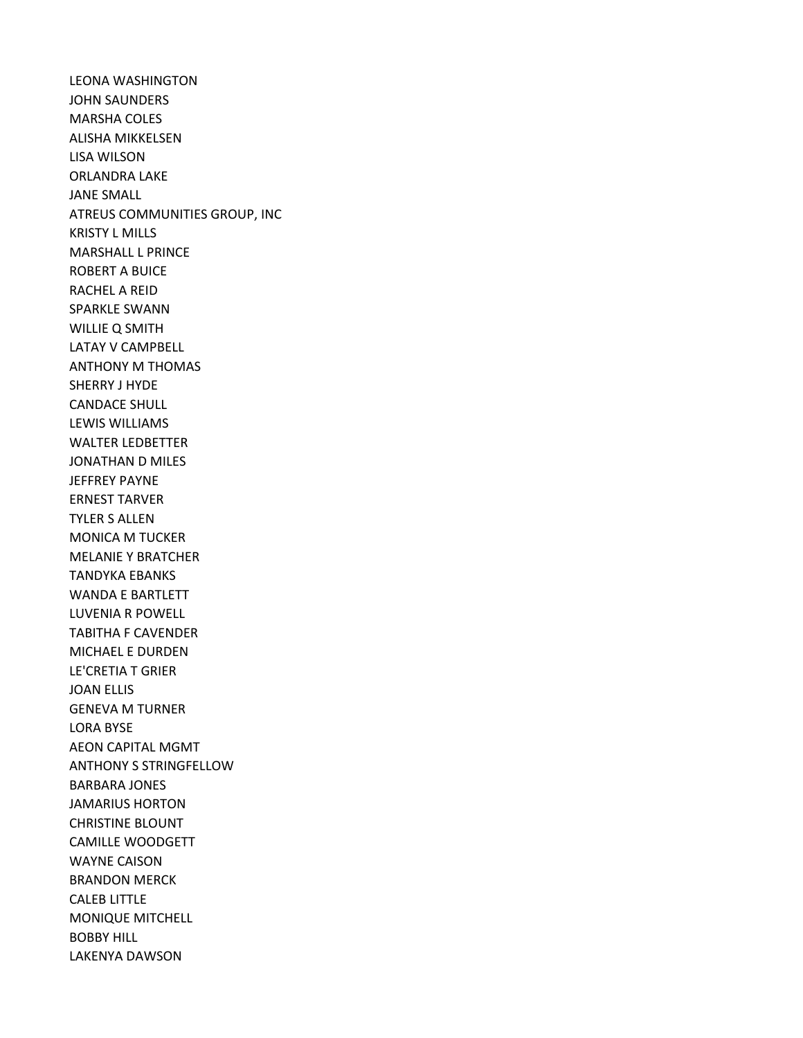LEONA WASHINGTON JOHN SAUNDERS MARSHA COLES ALISHA MIKKELSEN LISA WILSON ORLANDRA LAKE JANE SMALL ATREUS COMMUNITIES GROUP, INC KRISTY L MILLS MARSHALL L PRINCE ROBERT A BUICE RACHEL A REID SPARKLE SWANN WILLIE Q SMITH LATAY V CAMPBELL ANTHONY M THOMAS SHERRY J HYDE CANDACE SHULL LEWIS WILLIAMS WALTER LEDBETTER JONATHAN D MILES JEFFREY PAYNE ERNEST TARVER TYLER S ALLEN MONICA M TUCKER MELANIE Y BRATCHER TANDYKA EBANKS WANDA E BARTLETT LUVENIA R POWELL TABITHA F CAVENDER MICHAEL E DURDEN LE'CRETIA T GRIER JOAN ELLIS GENEVA M TURNER LORA BYSE AEON CAPITAL MGMT ANTHONY S STRINGFELLOW BARBARA JONES JAMARIUS HORTON CHRISTINE BLOUNT CAMILLE WOODGETT WAYNE CAISON BRANDON MERCK CALEB LITTLE MONIQUE MITCHELL BOBBY HILL LAKENYA DAWSON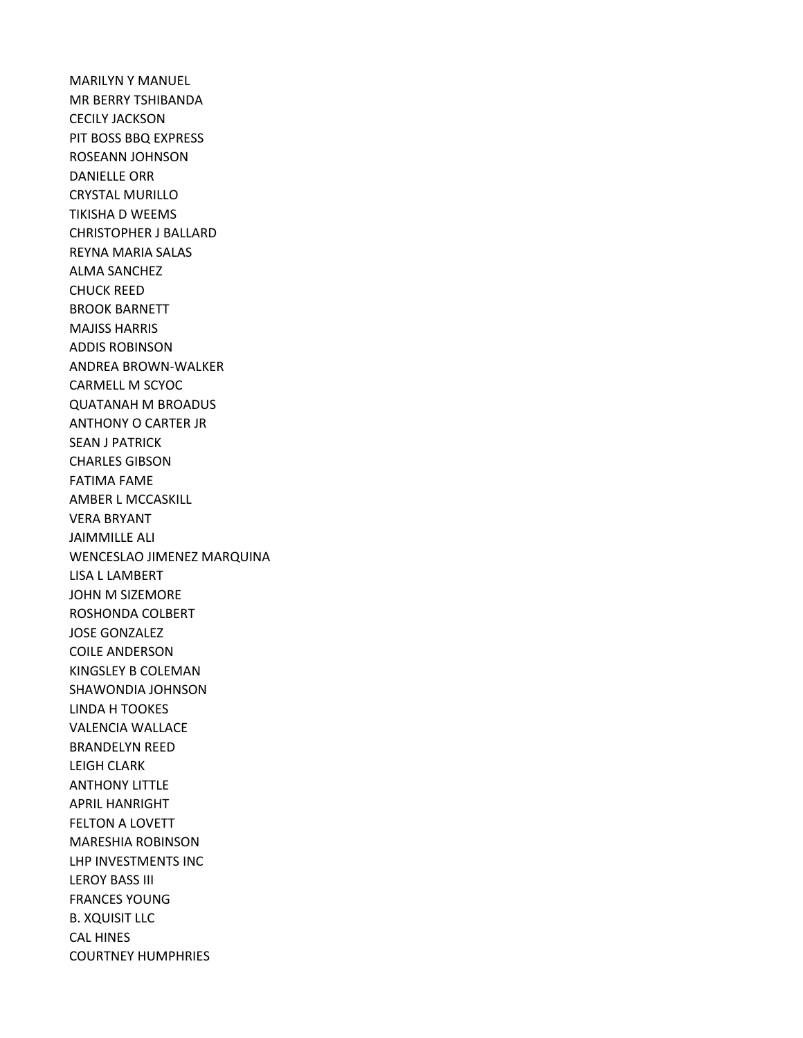MARILYN Y MANUEL MR BERRY TSHIBANDA CECILY JACKSON PIT BOSS BBQ EXPRESS ROSEANN JOHNSON DANIELLE ORR CRYSTAL MURILLO TIKISHA D WEEMS CHRISTOPHER J BALLARD REYNA MARIA SALAS ALMA SANCHEZ CHUCK REED BROOK BARNETT MAJISS HARRIS ADDIS ROBINSON ANDREA BROWN-WALKER CARMELL M SCYOC QUATANAH M BROADUS ANTHONY O CARTER JR SEAN J PATRICK CHARLES GIBSON FATIMA FAME AMBER L MCCASKILL VERA BRYANT JAIMMILLE ALI WENCESLAO JIMENEZ MARQUINA LISA L LAMBERT JOHN M SIZEMORE ROSHONDA COLBERT JOSE GONZALEZ COILE ANDERSON KINGSLEY B COLEMAN SHAWONDIA JOHNSON LINDA H TOOKES VALENCIA WALLACE BRANDELYN REED LEIGH CLARK ANTHONY LITTLE APRIL HANRIGHT FELTON A LOVETT MARESHIA ROBINSON LHP INVESTMENTS INC LEROY BASS III FRANCES YOUNG B. XQUISIT LLC CAL HINES COURTNEY HUMPHRIES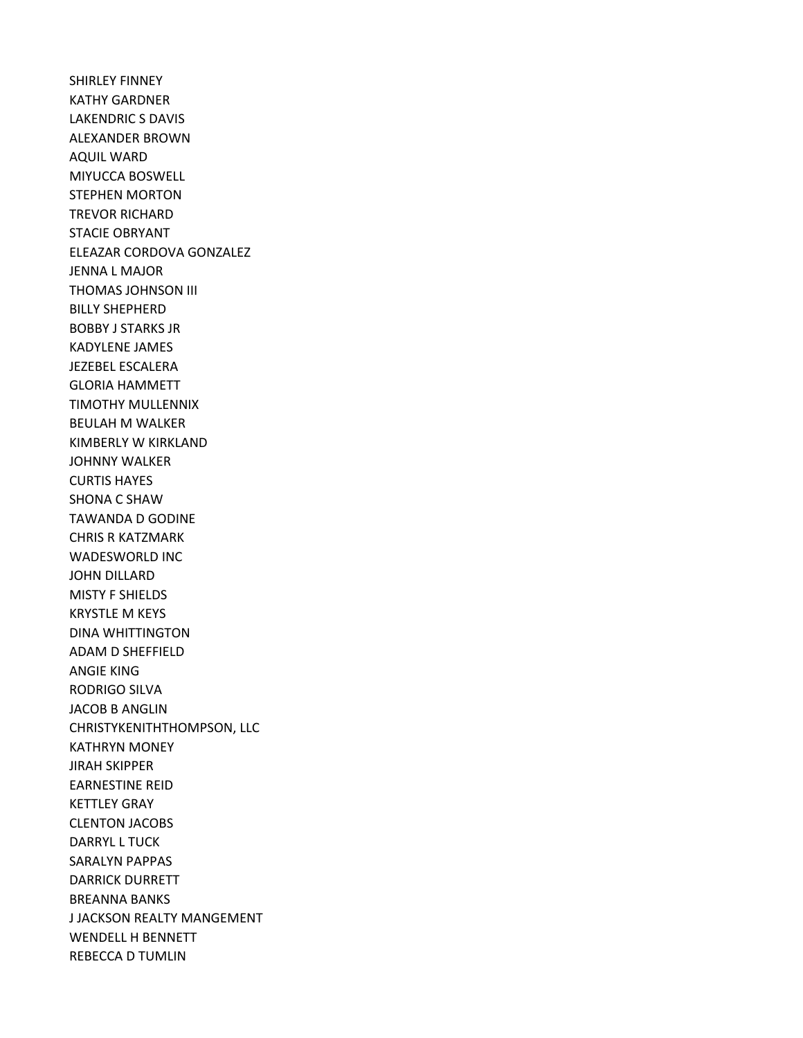SHIRLEY FINNEY KATHY GARDNER LAKENDRIC S DAVIS ALEXANDER BROWN AQUIL WARD MIYUCCA BOSWELL STEPHEN MORTON TREVOR RICHARD STACIE OBRYANT ELEAZAR CORDOVA GONZALEZ JENNA L MAJOR THOMAS JOHNSON III BILLY SHEPHERD BOBBY J STARKS JR KADYLENE JAMES JEZEBEL ESCALERA GLORIA HAMMETT TIMOTHY MULLENNIX BEULAH M WALKER KIMBERLY W KIRKLAND JOHNNY WALKER CURTIS HAYES SHONA C SHAW TAWANDA D GODINE CHRIS R KATZMARK WADESWORLD INC JOHN DILLARD MISTY F SHIELDS KRYSTLE M KEYS DINA WHITTINGTON ADAM D SHEFFIELD ANGIE KING RODRIGO SILVA JACOB B ANGLIN CHRISTYKENITHTHOMPSON, LLC KATHRYN MONEY JIRAH SKIPPER EARNESTINE REID KETTLEY GRAY CLENTON JACOBS DARRYL L TUCK SARALYN PAPPAS DARRICK DURRETT BREANNA BANKS J JACKSON REALTY MANGEMENT WENDELL H BENNETT REBECCA D TUMLIN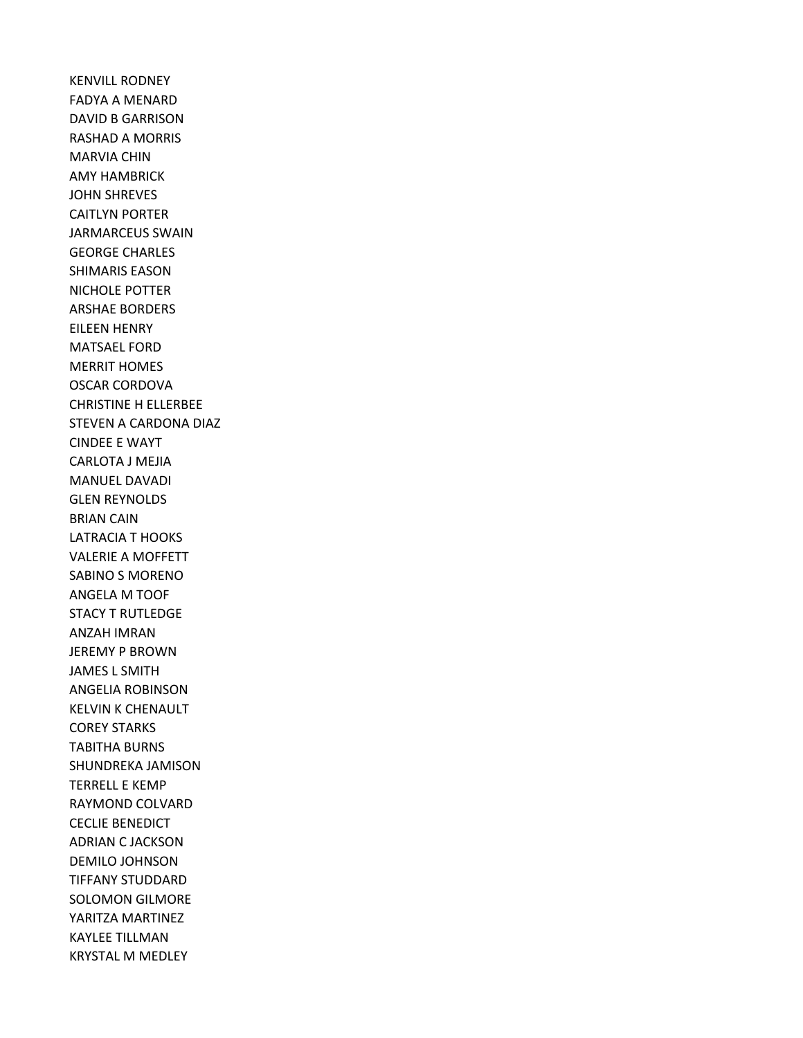KENVILL RODNEY FADYA A MENARD DAVID B GARRISON RASHAD A MORRIS MARVIA CHIN AMY HAMBRICK JOHN SHREVES CAITLYN PORTER JARMARCEUS SWAIN GEORGE CHARLES SHIMARIS EASON NICHOLE POTTER ARSHAE BORDERS EILEEN HENRY MATSAEL FORD MERRIT HOMES OSCAR CORDOVA CHRISTINE H ELLERBEE STEVEN A CARDONA DIAZ CINDEE E WAYT CARLOTA J MEJIA MANUEL DAVADI GLEN REYNOLDS BRIAN CAIN LATRACIA T HOOKS VALERIE A MOFFETT SABINO S MORENO ANGELA M TOOF STACY T RUTLEDGE ANZAH IMRAN JEREMY P BROWN JAMES L SMITH ANGELIA ROBINSON KELVIN K CHENAULT COREY STARKS TABITHA BURNS SHUNDREKA JAMISON TERRELL E KEMP RAYMOND COLVARD CECLIE BENEDICT ADRIAN C JACKSON DEMILO JOHNSON TIFFANY STUDDARD SOLOMON GILMORE YARITZA MARTINEZ KAYLEE TILLMAN KRYSTAL M MEDLEY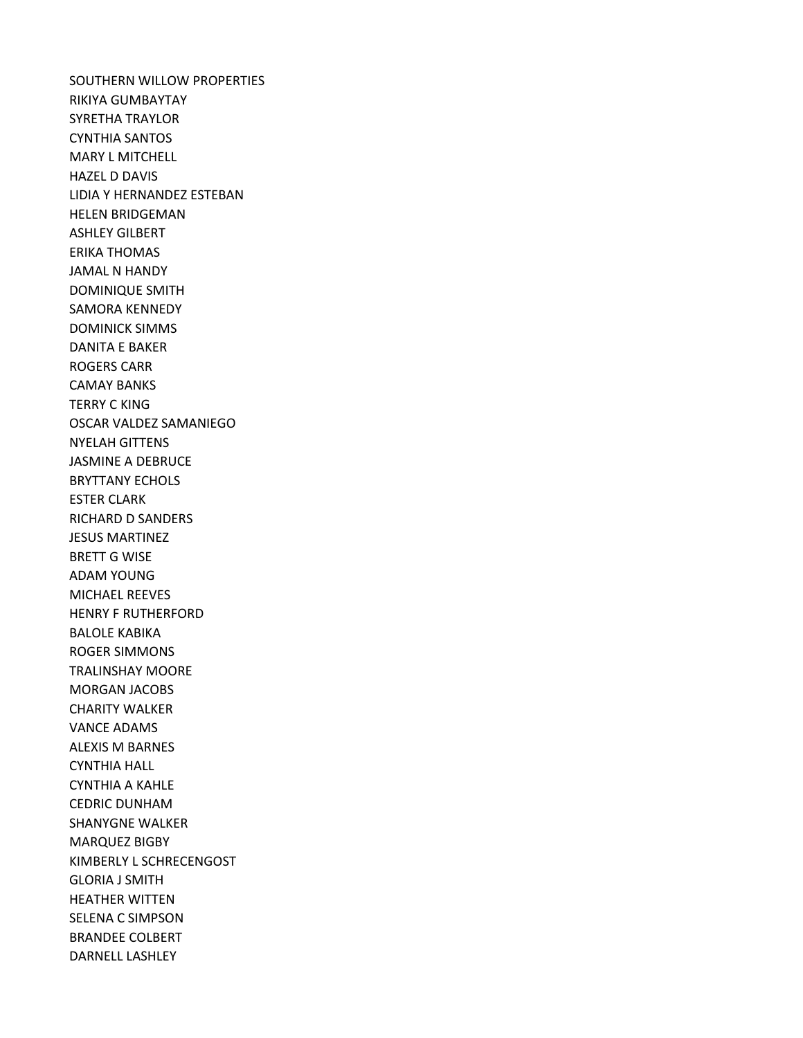SOUTHERN WILLOW PROPERTIES RIKIYA GUMBAYTAY SYRETHA TRAYLOR CYNTHIA SANTOS MARY L MITCHELL HAZEL D DAVIS LIDIA Y HERNANDEZ ESTEBAN HELEN BRIDGEMAN ASHLEY GILBERT ERIKA THOMAS JAMAL N HANDY DOMINIQUE SMITH SAMORA KENNEDY DOMINICK SIMMS DANITA E BAKER ROGERS CARR CAMAY BANKS TERRY C KING OSCAR VALDEZ SAMANIEGO NYELAH GITTENS JASMINE A DEBRUCE BRYTTANY ECHOLS ESTER CLARK RICHARD D SANDERS JESUS MARTINEZ BRETT G WISE ADAM YOUNG MICHAEL REEVES HENRY F RUTHERFORD BALOLE KABIKA ROGER SIMMONS TRALINSHAY MOORE MORGAN JACOBS CHARITY WALKER VANCE ADAMS ALEXIS M BARNES CYNTHIA HALL CYNTHIA A KAHLE CEDRIC DUNHAM SHANYGNE WALKER MARQUEZ BIGBY KIMBERLY L SCHRECENGOST GLORIA J SMITH HEATHER WITTEN SELENA C SIMPSON BRANDEE COLBERT DARNELL LASHLEY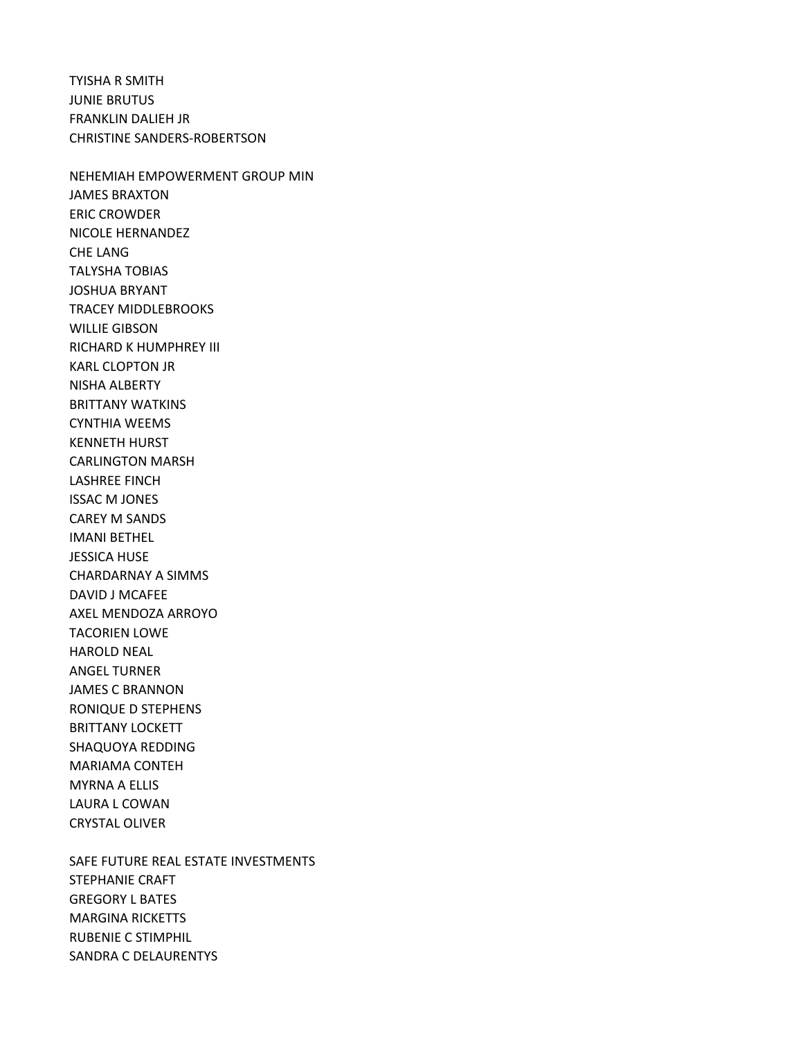TYISHA R SMITH JUNIE BRUTUS FRANKLIN DALIEH JR CHRISTINE SANDERS-ROBERTSON

NEHEMIAH EMPOWERMENT GROUP MIN JAMES BRAXTON ERIC CROWDER NICOLE HERNANDEZ CHE LANG TALYSHA TOBIAS JOSHUA BRYANT TRACEY MIDDLEBROOKS WILLIE GIBSON RICHARD K HUMPHREY III KARL CLOPTON JR NISHA ALBERTY BRITTANY WATKINS CYNTHIA WEEMS KENNETH HURST CARLINGTON MARSH LASHREE FINCH ISSAC M JONES CAREY M SANDS IMANI BETHEL JESSICA HUSE CHARDARNAY A SIMMS DAVID J MCAFEE AXEL MENDOZA ARROYO TACORIEN LOWE HAROLD NEAL ANGEL TURNER JAMES C BRANNON RONIQUE D STEPHENS BRITTANY LOCKETT SHAQUOYA REDDING MARIAMA CONTEH MYRNA A ELLIS LAURA L COWAN CRYSTAL OLIVER

SAFE FUTURE REAL ESTATE INVESTMENTS STEPHANIE CRAFT GREGORY L BATES MARGINA RICKETTS RUBENIE C STIMPHIL SANDRA C DELAURENTYS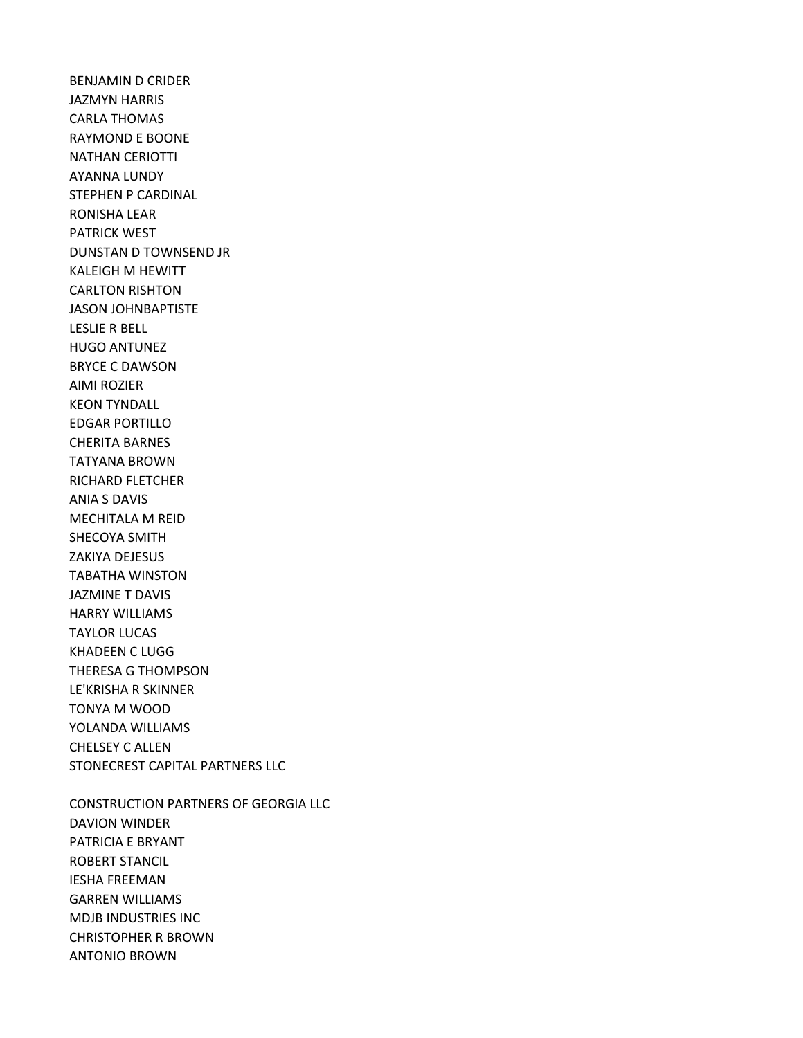BENJAMIN D CRIDER JAZMYN HARRIS CARLA THOMAS RAYMOND E BOONE NATHAN CERIOTTI AYANNA LUNDY STEPHEN P CARDINAL RONISHA LEAR PATRICK WEST DUNSTAN D TOWNSEND JR KALEIGH M HEWITT CARLTON RISHTON JASON JOHNBAPTISTE LESLIE R BELL HUGO ANTUNEZ BRYCE C DAWSON AIMI ROZIER KEON TYNDALL EDGAR PORTILLO CHERITA BARNES TATYANA BROWN RICHARD FLETCHER ANIA S DAVIS MECHITALA M REID SHECOYA SMITH ZAKIYA DEJESUS TABATHA WINSTON JAZMINE T DAVIS HARRY WILLIAMS TAYLOR LUCAS KHADEEN C LUGG THERESA G THOMPSON LE'KRISHA R SKINNER TONYA M WOOD YOLANDA WILLIAMS CHELSEY C ALLEN STONECREST CAPITAL PARTNERS LLC

CONSTRUCTION PARTNERS OF GEORGIA LLC DAVION WINDER PATRICIA E BRYANT ROBERT STANCIL IESHA FREEMAN GARREN WILLIAMS MDJB INDUSTRIES INC CHRISTOPHER R BROWN ANTONIO BROWN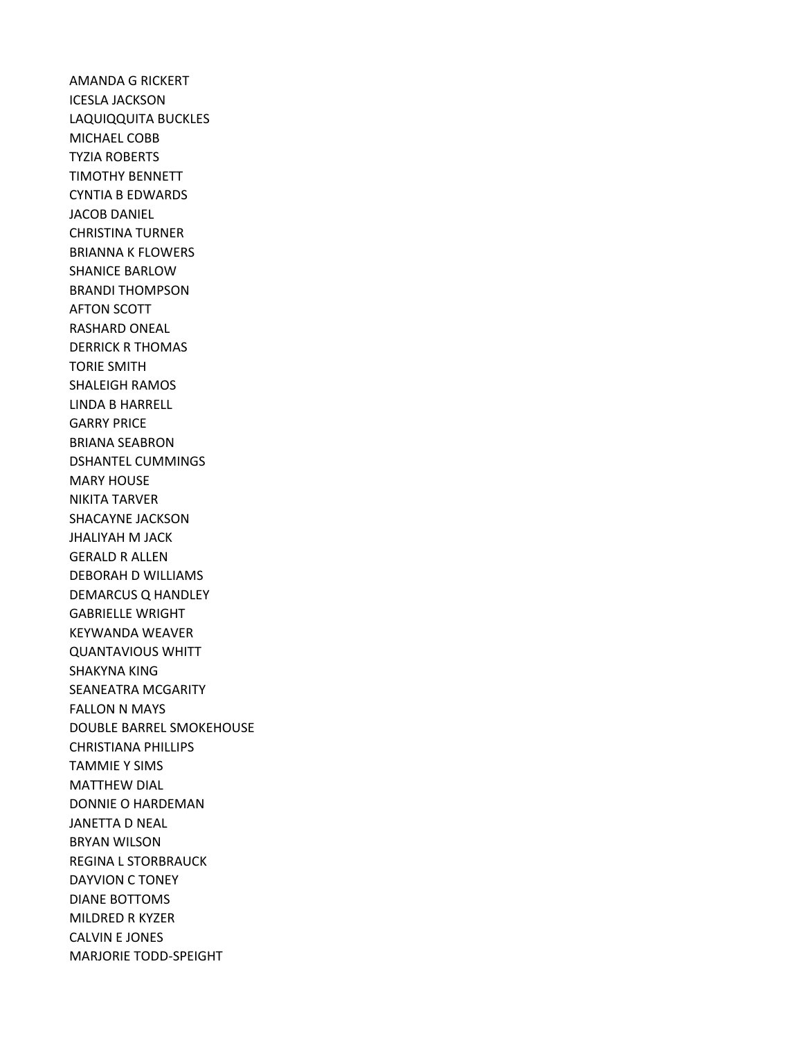AMANDA G RICKERT ICESLA JACKSON LAQUIQQUITA BUCKLES MICHAEL COBB TYZIA ROBERTS TIMOTHY BENNETT CYNTIA B EDWARDS JACOB DANIEL CHRISTINA TURNER BRIANNA K FLOWERS SHANICE BARLOW BRANDI THOMPSON AFTON SCOTT RASHARD ONEAL DERRICK R THOMAS TORIE SMITH SHALEIGH RAMOS LINDA B HARRELL GARRY PRICE BRIANA SEABRON DSHANTEL CUMMINGS MARY HOUSE NIKITA TARVER SHACAYNE JACKSON JHALIYAH M JACK GERALD R ALLEN DEBORAH D WILLIAMS DEMARCUS Q HANDLEY GABRIELLE WRIGHT KEYWANDA WEAVER QUANTAVIOUS WHITT SHAKYNA KING SEANEATRA MCGARITY FALLON N MAYS DOUBLE BARREL SMOKEHOUSE CHRISTIANA PHILLIPS TAMMIE Y SIMS MATTHEW DIAL DONNIE O HARDEMAN JANETTA D NEAL BRYAN WILSON REGINA L STORBRAUCK DAYVION C TONEY DIANE BOTTOMS MILDRED R KYZER CALVIN E JONES MARJORIE TODD-SPEIGHT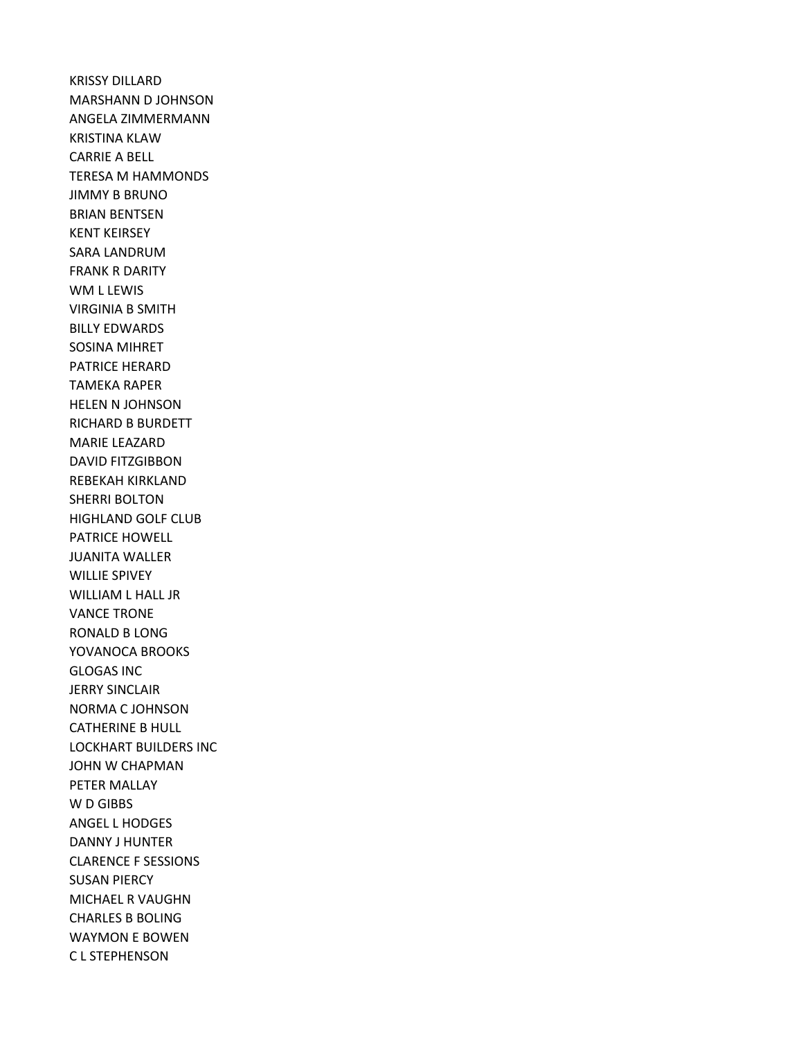KRISSY DILLARD MARSHANN D JOHNSON ANGELA ZIMMERMANN KRISTINA KLAW CARRIE A BELL TERESA M HAMMONDS JIMMY B BRUNO BRIAN BENTSEN KENT KEIRSEY SARA LANDRUM FRANK R DARITY WM L LEWIS VIRGINIA B SMITH BILLY EDWARDS SOSINA MIHRET PATRICE HERARD TAMEKA RAPER HELEN N JOHNSON RICHARD B BURDETT MARIE LEAZARD DAVID FITZGIBBON REBEKAH KIRKLAND SHERRI BOLTON HIGHLAND GOLF CLUB PATRICE HOWELL JUANITA WALLER WILLIE SPIVEY WILLIAM L HALL JR VANCE TRONE RONALD B LONG YOVANOCA BROOKS GLOGAS INC JERRY SINCLAIR NORMA C JOHNSON CATHERINE B HULL LOCKHART BUILDERS INC JOHN W CHAPMAN PETER MALLAY W D GIBBS ANGEL L HODGES DANNY J HUNTER CLARENCE F SESSIONS SUSAN PIERCY MICHAEL R VAUGHN CHARLES B BOLING WAYMON E BOWEN C L STEPHENSON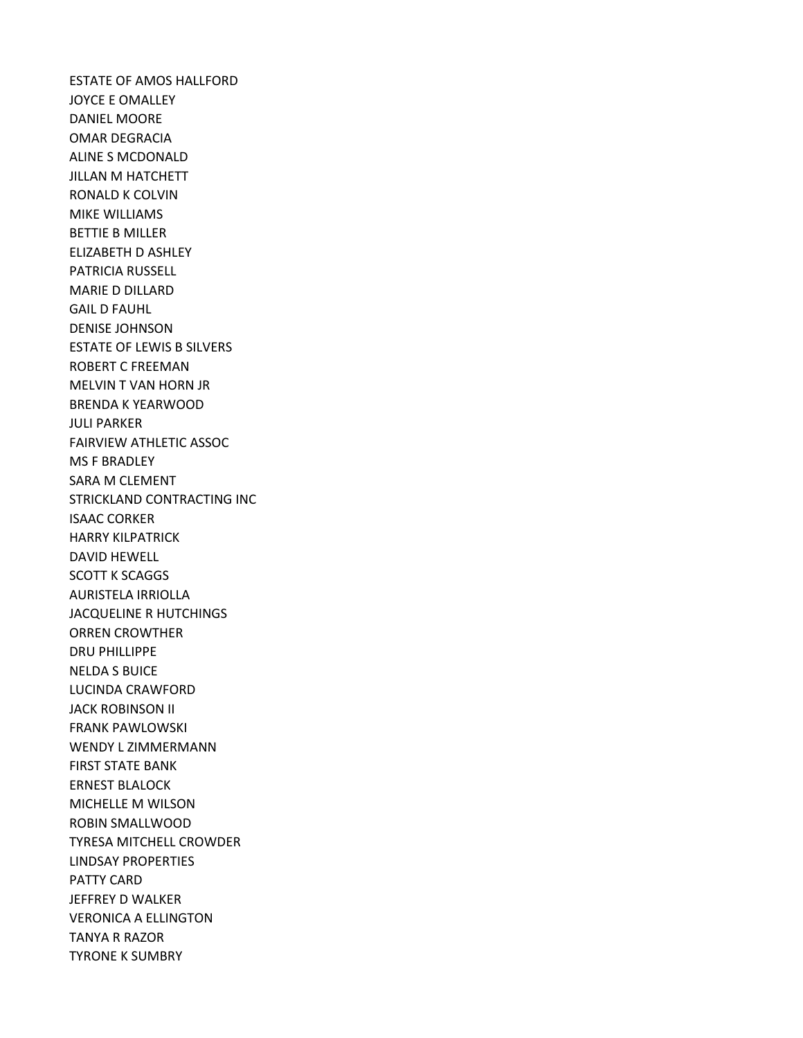ESTATE OF AMOS HALLFORD JOYCE E OMALLEY DANIEL MOORE OMAR DEGRACIA ALINE S MCDONALD JILLAN M HATCHETT RONALD K COLVIN MIKE WILLIAMS BETTIE B MILLER ELIZABETH D ASHLEY PATRICIA RUSSELL MARIE D DILLARD GAIL D FAUHL DENISE JOHNSON ESTATE OF LEWIS B SILVERS ROBERT C FREEMAN MELVIN T VAN HORN JR BRENDA K YEARWOOD JULI PARKER FAIRVIEW ATHLETIC ASSOC MS F BRADLEY SARA M CLEMENT STRICKLAND CONTRACTING INC ISAAC CORKER HARRY KILPATRICK DAVID HEWELL SCOTT K SCAGGS AURISTELA IRRIOLLA JACQUELINE R HUTCHINGS ORREN CROWTHER DRU PHILLIPPE NELDA S BUICE LUCINDA CRAWFORD JACK ROBINSON II FRANK PAWLOWSKI WENDY L ZIMMERMANN FIRST STATE BANK ERNEST BLALOCK MICHELLE M WILSON ROBIN SMALLWOOD TYRESA MITCHELL CROWDER LINDSAY PROPERTIES PATTY CARD JEFFREY D WALKER VERONICA A ELLINGTON TANYA R RAZOR TYRONE K SUMBRY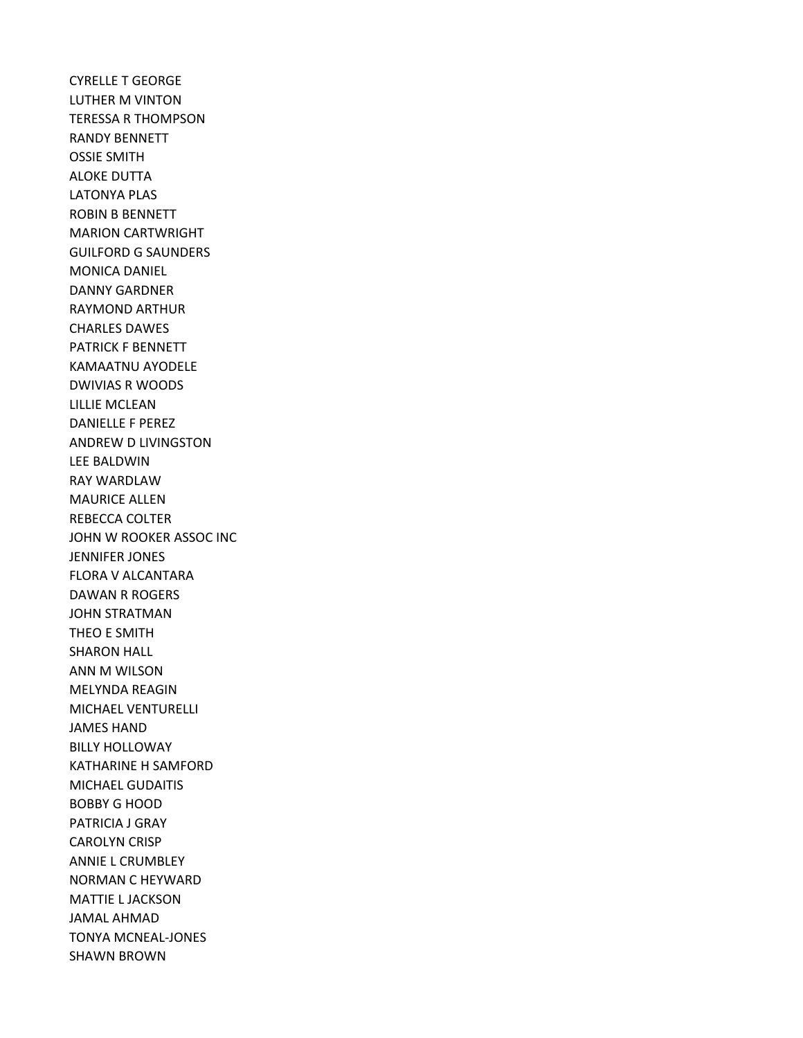CYRELLE T GEORGE LUTHER M VINTON TERESSA R THOMPSON RANDY BENNETT OSSIE SMITH ALOKE DUTTA LATONYA PLAS ROBIN B BENNETT MARION CARTWRIGHT GUILFORD G SAUNDERS MONICA DANIEL DANNY GARDNER RAYMOND ARTHUR CHARLES DAWES PATRICK F BENNETT KAMAATNU AYODELE DWIVIAS R WOODS LILLIE MCLEAN DANIELLE F PEREZ ANDREW D LIVINGSTON LEE BALDWIN RAY WARDLAW MAURICE ALLEN REBECCA COLTER JOHN W ROOKER ASSOC INC JENNIFER JONES FLORA V ALCANTARA DAWAN R ROGERS JOHN STRATMAN THEO E SMITH SHARON HALL ANN M WILSON MELYNDA REAGIN MICHAEL VENTURELLI JAMES HAND BILLY HOLLOWAY KATHARINE H SAMFORD MICHAEL GUDAITIS BOBBY G HOOD PATRICIA J GRAY CAROLYN CRISP ANNIE L CRUMBLEY NORMAN C HEYWARD MATTIE L JACKSON JAMAL AHMAD TONYA MCNEAL-JONES SHAWN BROWN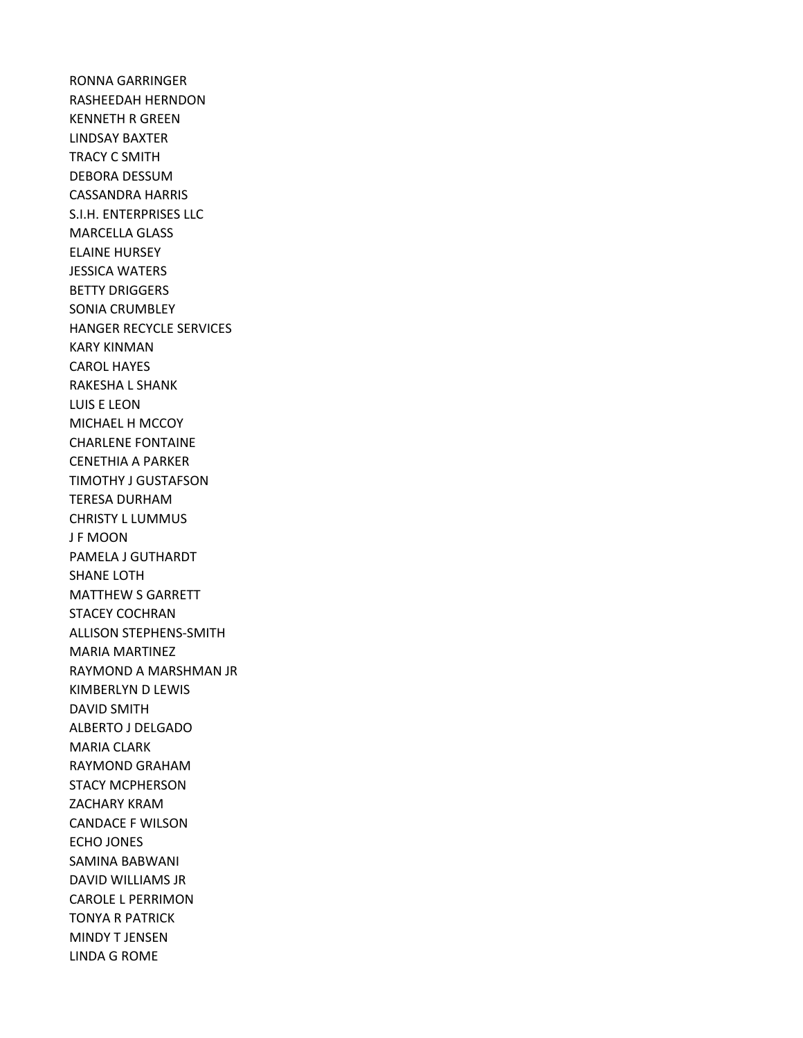RONNA GARRINGER RASHEEDAH HERNDON KENNETH R GREEN LINDSAY BAXTER TRACY C SMITH DEBORA DESSUM CASSANDRA HARRIS S.I.H. ENTERPRISES LLC MARCELLA GLASS ELAINE HURSEY JESSICA WATERS BETTY DRIGGERS SONIA CRUMBLEY HANGER RECYCLE SERVICES KARY KINMAN CAROL HAYES RAKESHA L SHANK LUIS E LEON MICHAEL H MCCOY CHARLENE FONTAINE CENETHIA A PARKER TIMOTHY J GUSTAFSON TERESA DURHAM CHRISTY L LUMMUS J F MOON PAMELA J GUTHARDT SHANE LOTH MATTHEW S GARRETT STACEY COCHRAN ALLISON STEPHENS-SMITH MARIA MARTINEZ RAYMOND A MARSHMAN JR KIMBERLYN D LEWIS DAVID SMITH ALBERTO J DELGADO MARIA CLARK RAYMOND GRAHAM STACY MCPHERSON ZACHARY KRAM CANDACE F WILSON ECHO JONES SAMINA BABWANI DAVID WILLIAMS JR CAROLE L PERRIMON TONYA R PATRICK MINDY T JENSEN LINDA G ROME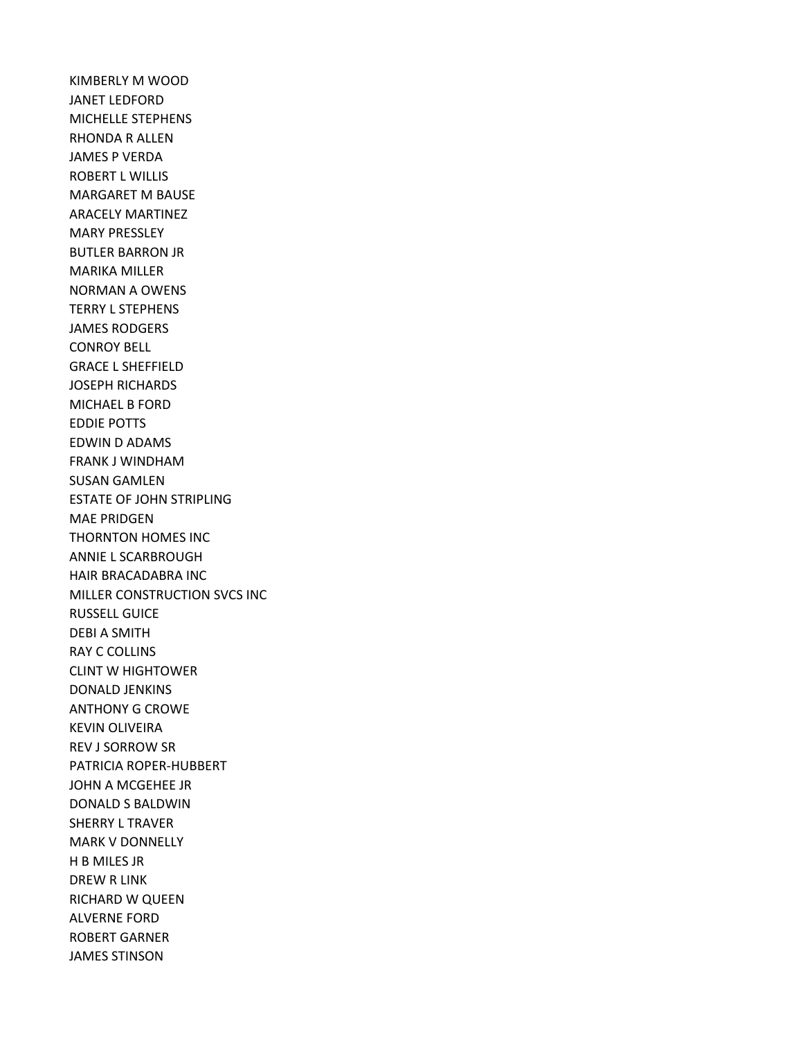KIMBERLY M WOOD JANET LEDFORD MICHELLE STEPHENS RHONDA R ALLEN JAMES P VERDA ROBERT L WILLIS MARGARET M BAUSE ARACELY MARTINEZ MARY PRESSLEY BUTLER BARRON JR MARIKA MILLER NORMAN A OWENS TERRY L STEPHENS JAMES RODGERS CONROY BELL GRACE L SHEFFIELD JOSEPH RICHARDS MICHAEL B FORD EDDIE POTTS EDWIN D ADAMS FRANK J WINDHAM SUSAN GAMLEN ESTATE OF JOHN STRIPLING MAE PRIDGEN THORNTON HOMES INC ANNIE L SCARBROUGH HAIR BRACADABRA INC MILLER CONSTRUCTION SVCS INC RUSSELL GUICE DEBI A SMITH RAY C COLLINS CLINT W HIGHTOWER DONALD JENKINS ANTHONY G CROWE KEVIN OLIVEIRA REV J SORROW SR PATRICIA ROPER-HUBBERT JOHN A MCGEHEE JR DONALD S BALDWIN SHERRY L TRAVER MARK V DONNELLY H B MILES JR DREW R LINK RICHARD W QUEEN ALVERNE FORD ROBERT GARNER JAMES STINSON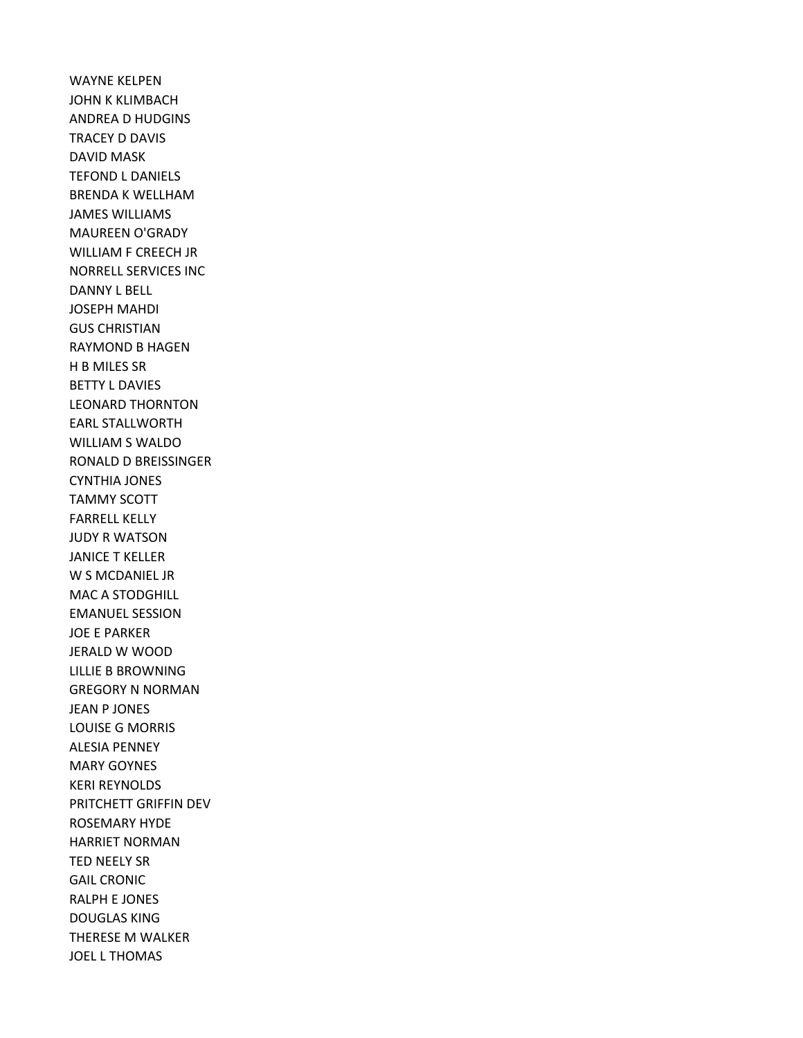WAYNE KELPEN JOHN K KLIMBACH ANDREA D HUDGINS TRACEY D DAVIS DAVID MASK TEFOND L DANIELS BRENDA K WELLHAM JAMES WILLIAMS MAUREEN O'GRADY WILLIAM F CREECH JR NORRELL SERVICES INC DANNY L BELL JOSEPH MAHDI GUS CHRISTIAN RAYMOND B HAGEN H B MILES SR BETTY L DAVIES LEONARD THORNTON EARL STALLWORTH WILLIAM S WALDO RONALD D BREISSINGER CYNTHIA JONES TAMMY SCOTT FARRELL KELLY JUDY R WATSON JANICE T KELLER W S MCDANIEL JR MAC A STODGHILL EMANUEL SESSION JOE E PARKER JERALD W WOOD LILLIE B BROWNING GREGORY N NORMAN JEAN P JONES LOUISE G MORRIS ALESIA PENNEY MARY GOYNES KERI REYNOLDS PRITCHETT GRIFFIN DEV ROSEMARY HYDE HARRIET NORMAN TED NEELY SR GAIL CRONIC RALPH E JONES DOUGLAS KING THERESE M WALKER JOEL L THOMAS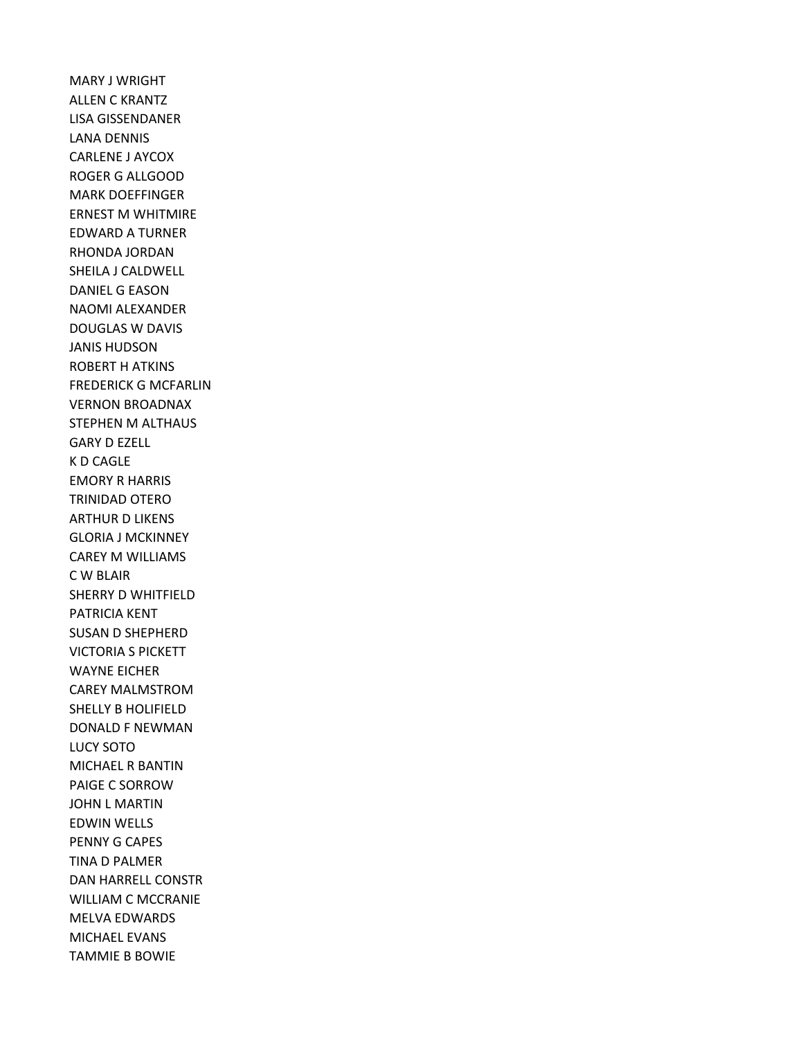MARY J WRIGHT ALLEN C KRANTZ LISA GISSENDANER LANA DENNIS CARLENE J AYCOX ROGER G ALLGOOD MARK DOEFFINGER ERNEST M WHITMIRE EDWARD A TURNER RHONDA JORDAN SHEILA J CALDWELL DANIEL G EASON NAOMI ALEXANDER DOUGLAS W DAVIS JANIS HUDSON ROBERT H ATKINS FREDERICK G MCFARLIN VERNON BROADNAX STEPHEN M ALTHAUS GARY D EZELL K D CAGLE EMORY R HARRIS TRINIDAD OTERO ARTHUR D LIKENS GLORIA J MCKINNEY CAREY M WILLIAMS C W BLAIR SHERRY D WHITFIELD PATRICIA KENT SUSAN D SHEPHERD VICTORIA S PICKETT WAYNE EICHER CAREY MALMSTROM SHELLY B HOLIFIELD DONALD F NEWMAN LUCY SOTO MICHAEL R BANTIN PAIGE C SORROW JOHN L MARTIN EDWIN WELLS PENNY G CAPES TINA D PALMER DAN HARRELL CONSTR WILLIAM C MCCRANIE MELVA EDWARDS MICHAEL EVANS TAMMIE B BOWIE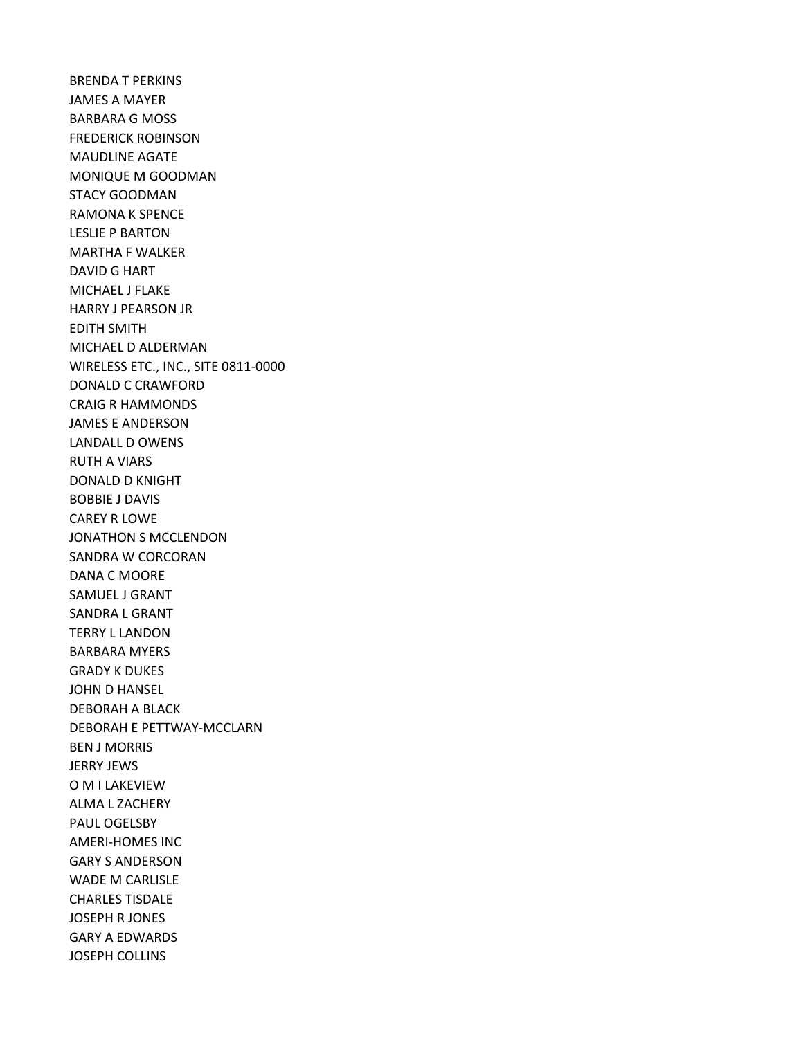BRENDA T PERKINS JAMES A MAYER BARBARA G MOSS FREDERICK ROBINSON MAUDLINE AGATE MONIQUE M GOODMAN STACY GOODMAN RAMONA K SPENCE LESLIE P BARTON MARTHA F WALKER DAVID G HART MICHAEL J FLAKE HARRY J PEARSON JR EDITH SMITH MICHAEL D ALDERMAN WIRELESS ETC., INC., SITE 0811-0000 DONALD C CRAWFORD CRAIG R HAMMONDS JAMES E ANDERSON LANDALL D OWENS RUTH A VIARS DONALD D KNIGHT BOBBIE J DAVIS CAREY R LOWE JONATHON S MCCLENDON SANDRA W CORCORAN DANA C MOORE SAMUEL J GRANT SANDRA L GRANT TERRY L LANDON BARBARA MYERS GRADY K DUKES JOHN D HANSEL DEBORAH A BLACK DEBORAH E PETTWAY-MCCLARN BEN J MORRIS JERRY JEWS O M I LAKEVIEW ALMA L ZACHERY PAUL OGELSBY AMERI-HOMES INC GARY S ANDERSON WADE M CARLISLE CHARLES TISDALE JOSEPH R JONES GARY A EDWARDS JOSEPH COLLINS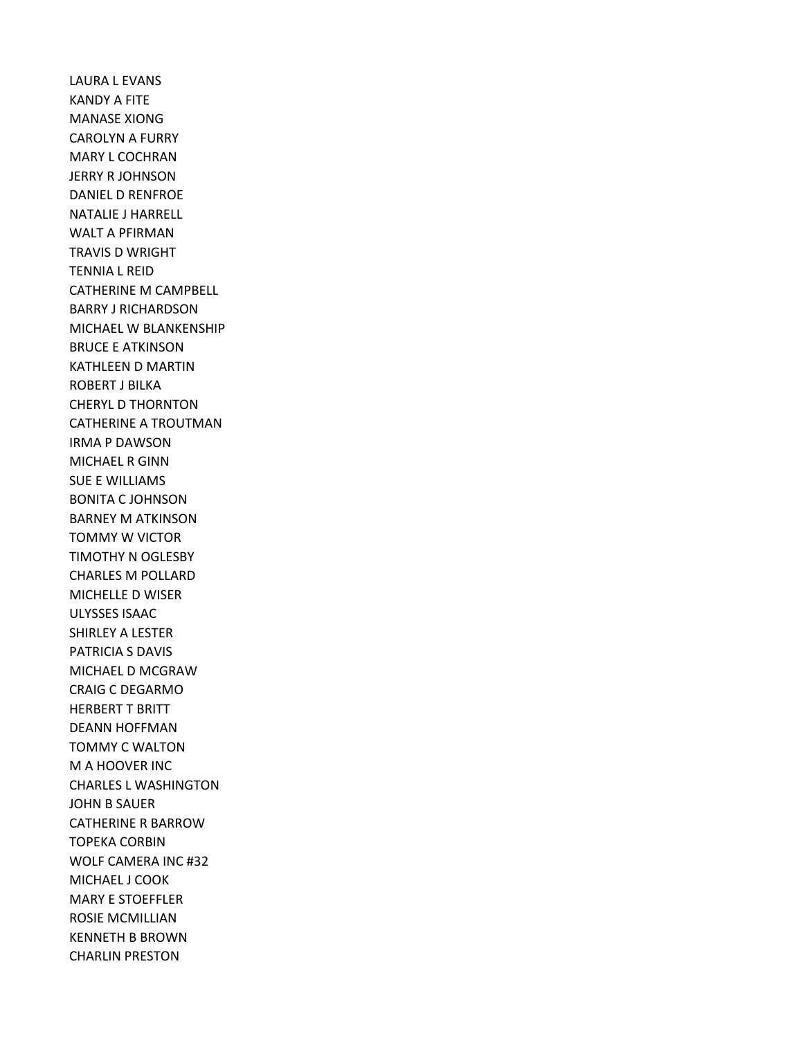LAURA L EVANS KANDY A FITE MANASE XIONG CAROLYN A FURRY MARY L COCHRAN JERRY R JOHNSON DANIEL D RENFROE NATALIE J HARRELL WALT A PFIRMAN TRAVIS D WRIGHT TENNIA L REID CATHERINE M CAMPBELL BARRY J RICHARDSON MICHAEL W BLANKENSHIP BRUCE E ATKINSON KATHLEEN D MARTIN ROBERT J BILKA CHERYL D THORNTON CATHERINE A TROUTMAN IRMA P DAWSON MICHAEL R GINN SUE E WILLIAMS BONITA C JOHNSON BARNEY M ATKINSON TOMMY W VICTOR TIMOTHY N OGLESBY CHARLES M POLLARD MICHELLE D WISER ULYSSES ISAAC SHIRLEY A LESTER PATRICIA S DAVIS MICHAEL D MCGRAW CRAIG C DEGARMO HERBERT T BRITT DEANN HOFFMAN TOMMY C WALTON M A HOOVER INC CHARLES L WASHINGTON JOHN B SAUER CATHERINE R BARROW TOPEKA CORBIN WOLF CAMERA INC #32 MICHAEL J COOK MARY E STOEFFLER ROSIE MCMILLIAN KENNETH B BROWN CHARLIN PRESTON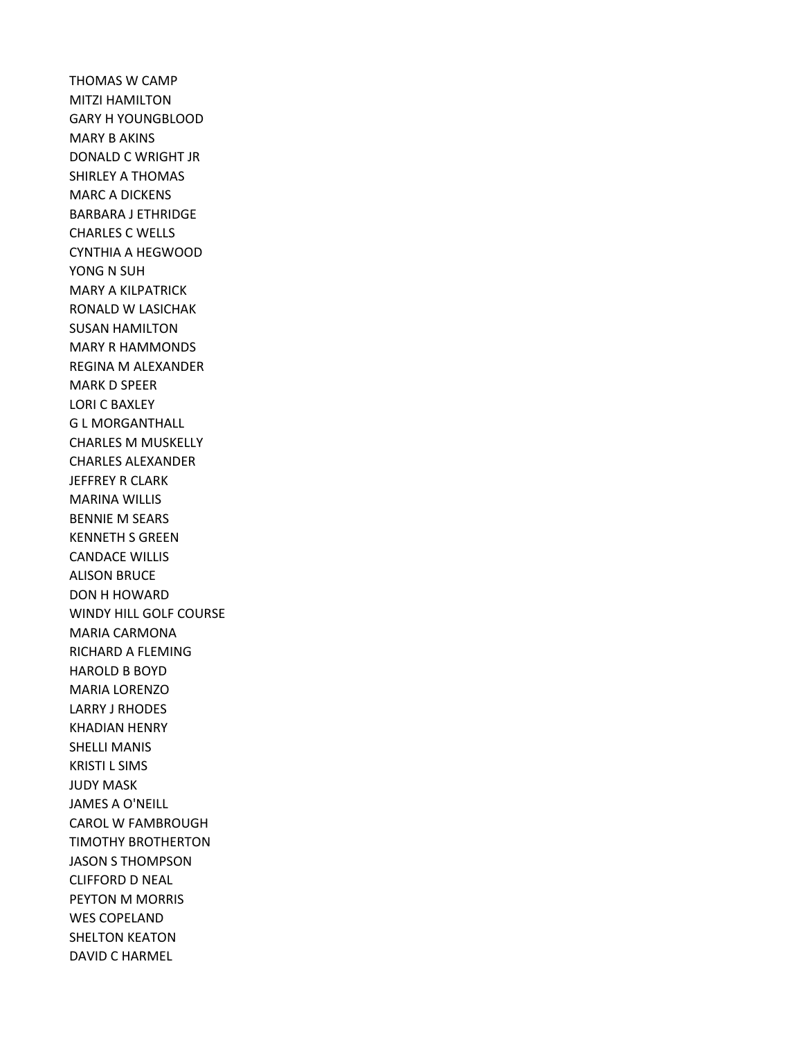THOMAS W CAMP MITZI HAMILTON GARY H YOUNGBLOOD MARY B AKINS DONALD C WRIGHT JR SHIRLEY A THOMAS MARC A DICKENS BARBARA J ETHRIDGE CHARLES C WELLS CYNTHIA A HEGWOOD YONG N SUH MARY A KILPATRICK RONALD W LASICHAK SUSAN HAMILTON MARY R HAMMONDS REGINA M ALEXANDER MARK D SPEER LORI C BAXLEY G L MORGANTHALL CHARLES M MUSKELLY CHARLES ALEXANDER JEFFREY R CLARK MARINA WILLIS BENNIE M SEARS KENNETH S GREEN CANDACE WILLIS ALISON BRUCE DON H HOWARD WINDY HILL GOLF COURSE MARIA CARMONA RICHARD A FLEMING HAROLD B BOYD MARIA LORENZO LARRY J RHODES KHADIAN HENRY SHELLI MANIS KRISTI L SIMS JUDY MASK JAMES A O'NEILL CAROL W FAMBROUGH TIMOTHY BROTHERTON JASON S THOMPSON CLIFFORD D NEAL PEYTON M MORRIS WES COPELAND SHELTON KEATON DAVID C HARMEL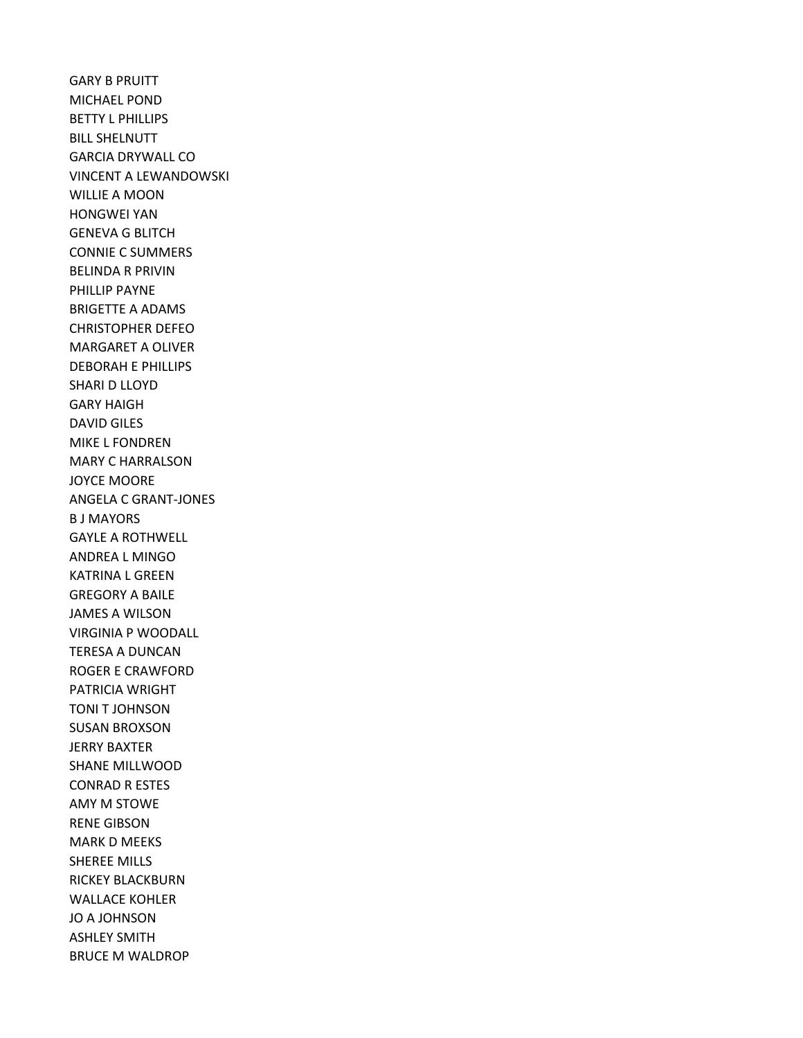GARY B PRUITT MICHAEL POND BETTY L PHILLIPS BILL SHELNUTT GARCIA DRYWALL CO VINCENT A LEWANDOWSKI WILLIE A MOON HONGWEI YAN GENEVA G BLITCH CONNIE C SUMMERS BELINDA R PRIVIN PHILLIP PAYNE BRIGETTE A ADAMS CHRISTOPHER DEFEO MARGARET A OLIVER DEBORAH E PHILLIPS SHARI D LLOYD GARY HAIGH DAVID GILES MIKE L FONDREN MARY C HARRALSON JOYCE MOORE ANGELA C GRANT-JONES B J MAYORS GAYLE A ROTHWELL ANDREA L MINGO KATRINA L GREEN GREGORY A BAILE JAMES A WILSON VIRGINIA P WOODALL TERESA A DUNCAN ROGER E CRAWFORD PATRICIA WRIGHT TONI T JOHNSON SUSAN BROXSON JERRY BAXTER SHANE MILLWOOD CONRAD R ESTES AMY M STOWE RENE GIBSON MARK D MEEKS SHEREE MILLS RICKEY BLACKBURN WALLACE KOHLER JO A JOHNSON ASHLEY SMITH BRUCE M WALDROP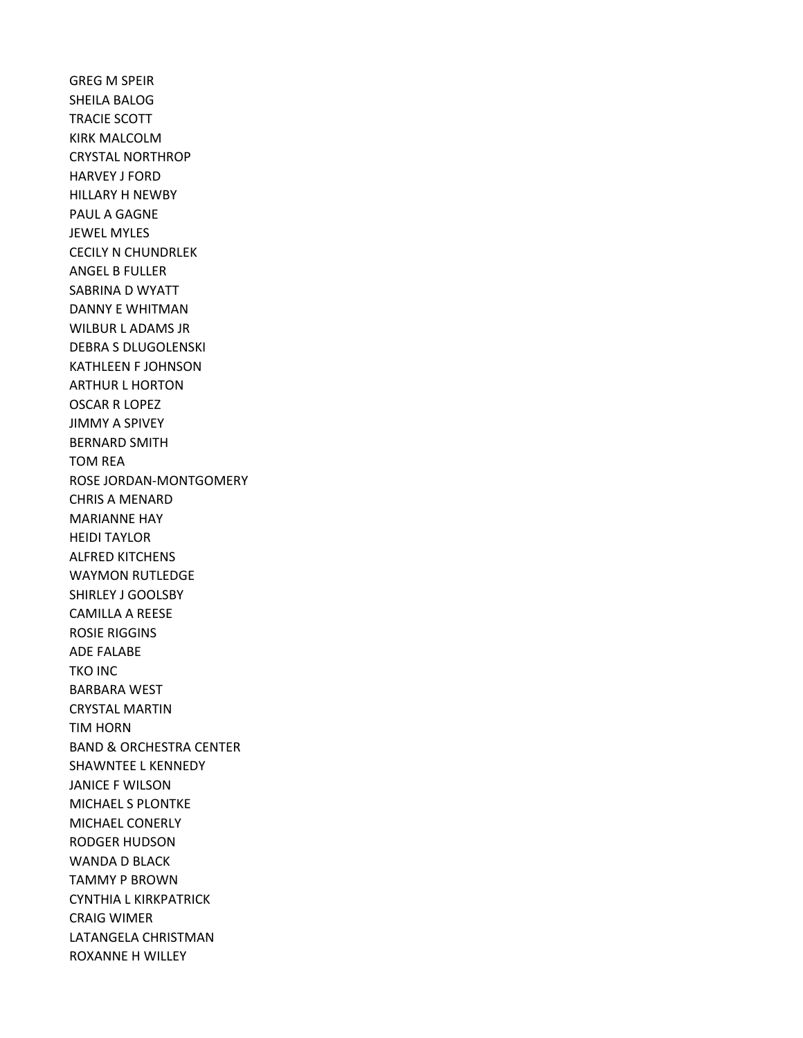GREG M SPEIR SHEILA BALOG TRACIE SCOTT KIRK MALCOLM CRYSTAL NORTHROP HARVEY J FORD HILLARY H NEWBY PAUL A GAGNE JEWEL MYLES CECILY N CHUNDRLEK ANGEL B FULLER SABRINA D WYATT DANNY E WHITMAN WILBUR L ADAMS JR DEBRA S DLUGOLENSKI KATHLEEN F JOHNSON ARTHUR L HORTON OSCAR R LOPEZ JIMMY A SPIVEY BERNARD SMITH TOM REA ROSE JORDAN-MONTGOMERY CHRIS A MENARD MARIANNE HAY HEIDI TAYLOR ALFRED KITCHENS WAYMON RUTLEDGE SHIRLEY J GOOLSBY CAMILLA A REESE ROSIE RIGGINS ADE FALABE TKO INC BARBARA WEST CRYSTAL MARTIN TIM HORN BAND & ORCHESTRA CENTER SHAWNTEE L KENNEDY JANICE F WILSON MICHAEL S PLONTKE MICHAEL CONERLY RODGER HUDSON WANDA D BLACK TAMMY P BROWN CYNTHIA L KIRKPATRICK CRAIG WIMER LATANGELA CHRISTMAN ROXANNE H WILLEY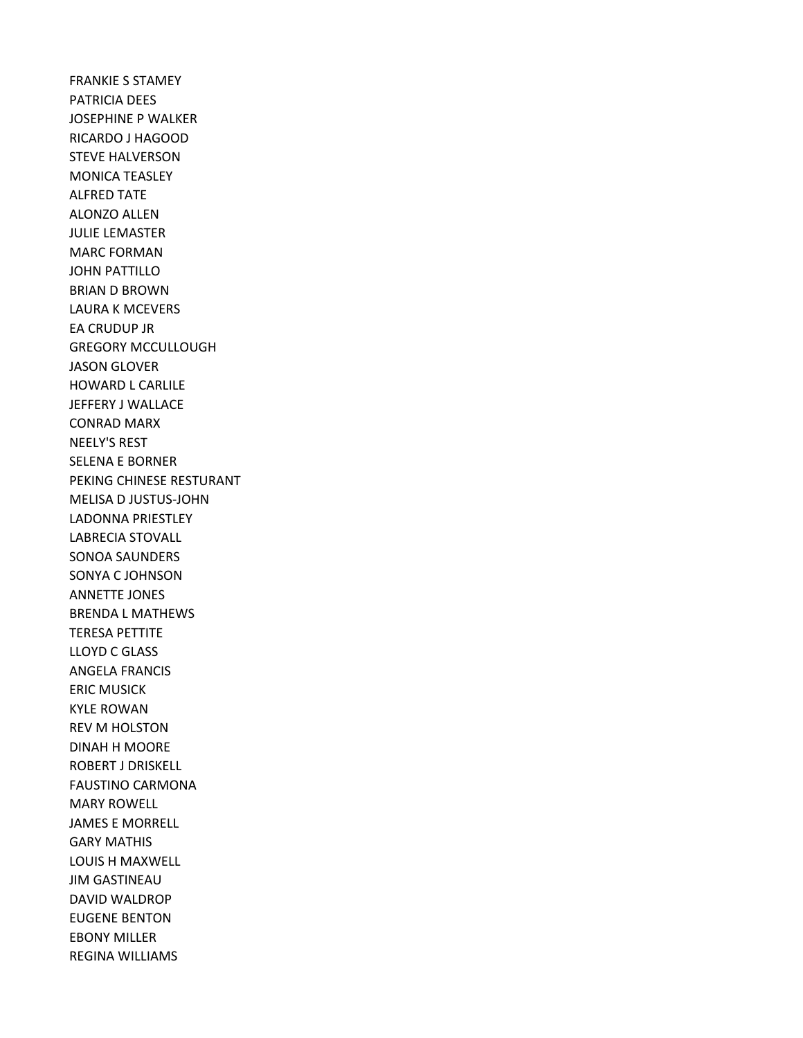FRANKIE S STAMEY PATRICIA DEES JOSEPHINE P WALKER RICARDO J HAGOOD STEVE HALVERSON MONICA TEASLEY ALFRED TATE ALONZO ALLEN JULIE LEMASTER MARC FORMAN JOHN PATTILLO BRIAN D BROWN LAURA K MCEVERS EA CRUDUP JR GREGORY MCCULLOUGH JASON GLOVER HOWARD L CARLILE JEFFERY J WALLACE CONRAD MARX NEELY'S REST SELENA E BORNER PEKING CHINESE RESTURANT MELISA D JUSTUS-JOHN LADONNA PRIESTLEY LABRECIA STOVALL SONOA SAUNDERS SONYA C JOHNSON ANNETTE JONES BRENDA L MATHEWS TERESA PETTITE LLOYD C GLASS ANGELA FRANCIS ERIC MUSICK KYLE ROWAN REV M HOLSTON DINAH H MOORE ROBERT J DRISKELL FAUSTINO CARMONA MARY ROWELL JAMES E MORRELL GARY MATHIS LOUIS H MAXWELL JIM GASTINEAU DAVID WALDROP EUGENE BENTON EBONY MILLER REGINA WILLIAMS